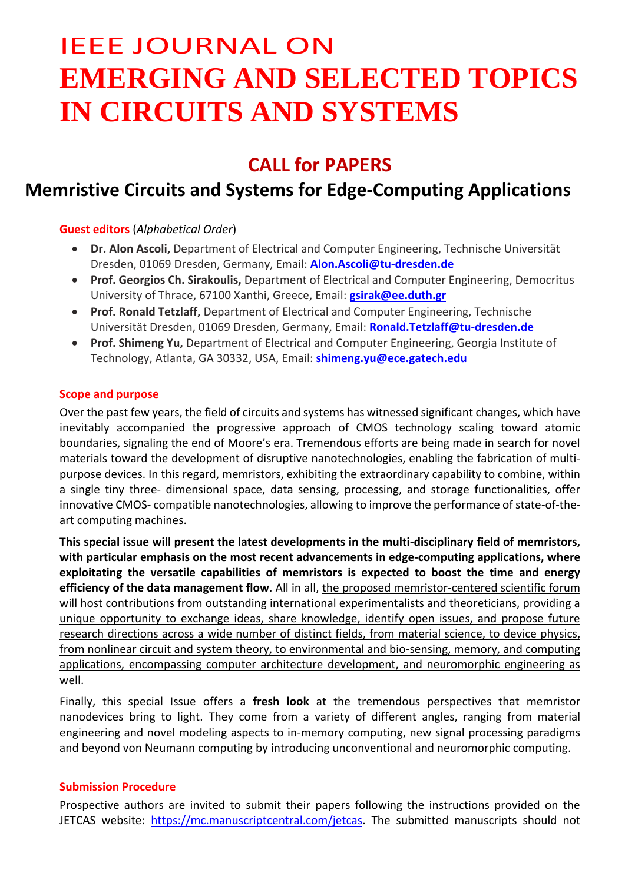# IEEE JOURNAL ON **EMERGING AND SELECTED TOPICS IN CIRCUITS AND SYSTEMS**

## **CALL for PAPERS**

## **Memristive Circuits and Systems for Edge-Computing Applications**

**Guest editors** (*Alphabetical Order*)

- **Dr. Alon Ascoli,** Department of Electrical and Computer Engineering, Technische Universität Dresden, 01069 Dresden, Germany, Email: **[Alon.Ascoli@tu-dresden.de](mailto:Alon.Ascoli@tu-dresden.de)**
- **Prof. Georgios Ch. Sirakoulis,** Department of Electrical and Computer Engineering, Democritus University of Thrace, 67100 Xanthi, Greece, Email: **[gsirak@ee.duth.gr](mailto:gsirak@ee.duth.gr)**
- **Prof. Ronald Tetzlaff,** Department of Electrical and Computer Engineering, Technische Universität Dresden, 01069 Dresden, Germany, Email: **[Ronald.Tetzlaff@tu-dresden.de](mailto:Ronald.Tetzlaff@tu-dresden.de)**
- **Prof. Shimeng Yu,** Department of Electrical and Computer Engineering, Georgia Institute of Technology, Atlanta, GA 30332, USA, Email: **[shimeng.yu@ece.gatech.edu](javascript:void(window.open()**

### **Scope and purpose**

Over the past few years, the field of circuits and systems has witnessed significant changes, which have inevitably accompanied the progressive approach of CMOS technology scaling toward atomic boundaries, signaling the end of Moore's era. Tremendous efforts are being made in search for novel materials toward the development of disruptive nanotechnologies, enabling the fabrication of multipurpose devices. In this regard, memristors, exhibiting the extraordinary capability to combine, within a single tiny three- dimensional space, data sensing, processing, and storage functionalities, offer innovative CMOS- compatible nanotechnologies, allowing to improve the performance of state-of-theart computing machines.

**This special issue will present the latest developments in the multi-disciplinary field of memristors, with particular emphasis on the most recent advancements in edge-computing applications, where exploitating the versatile capabilities of memristors is expected to boost the time and energy efficiency of the data management flow**. All in all, the proposed memristor-centered scientific forum will host contributions from outstanding international experimentalists and theoreticians, providing a unique opportunity to exchange ideas, share knowledge, identify open issues, and propose future research directions across a wide number of distinct fields, from material science, to device physics, from nonlinear circuit and system theory, to environmental and bio-sensing, memory, and computing applications, encompassing computer architecture development, and neuromorphic engineering as well.

Finally, this special Issue offers a **fresh look** at the tremendous perspectives that memristor nanodevices bring to light. They come from a variety of different angles, ranging from material engineering and novel modeling aspects to in-memory computing, new signal processing paradigms and beyond von Neumann computing by introducing unconventional and neuromorphic computing.

#### **Submission Procedure**

Prospective authors are invited to submit their papers following the instructions provided on the JETCAS website: [https://mc.manuscriptcentral.com/jetcas.](https://mc.manuscriptcentral.com/jetcas) The submitted manuscripts should not